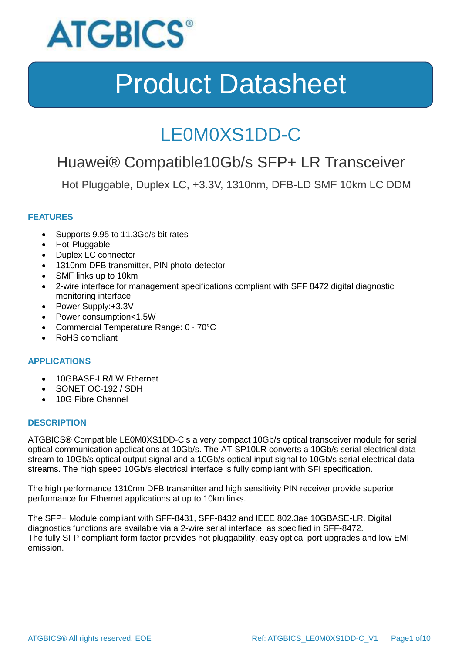

### LE0M0XS1DD-C

### Huawei® Compatible10Gb/s SFP+ LR Transceiver

Hot Pluggable, Duplex LC, +3.3V, 1310nm, DFB-LD SMF 10km LC DDM

### **FEATURES**

- Supports 9.95 to 11.3Gb/s bit rates
- Hot-Pluggable
- Duplex LC connector
- 1310nm DFB transmitter, PIN photo-detector
- SMF links up to 10km
- 2-wire interface for management specifications compliant with SFF 8472 digital diagnostic monitoring interface
- Power Supply:+3.3V
- Power consumption<1.5W
- Commercial Temperature Range: 0~70°C
- RoHS compliant

#### **APPLICATIONS**

- 10GBASE-LR/LW Ethernet
- SONET OC-192 / SDH
- 10G Fibre Channel

#### **DESCRIPTION**

ATGBICS® Compatible LE0M0XS1DD-Cis a very compact 10Gb/s optical transceiver module for serial optical communication applications at 10Gb/s. The AT-SP10LR converts a 10Gb/s serial electrical data stream to 10Gb/s optical output signal and a 10Gb/s optical input signal to 10Gb/s serial electrical data streams. The high speed 10Gb/s electrical interface is fully compliant with SFI specification.

The high performance 1310nm DFB transmitter and high sensitivity PIN receiver provide superior performance for Ethernet applications at up to 10km links.

The SFP+ Module compliant with SFF-8431, SFF-8432 and IEEE 802.3ae 10GBASE-LR. Digital diagnostics functions are available via a 2-wire serial interface, as specified in SFF-8472. The fully SFP compliant form factor provides hot pluggability, easy optical port upgrades and low EMI emission.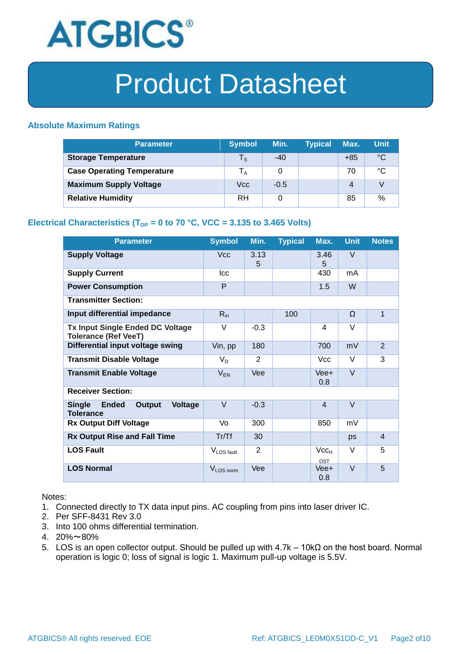

#### **Absolute Maximum Ratings**

| <b>Parameter</b>                  | <b>Symbol</b>           | Min.   | <b>Typical</b> | Max.  | <b>Unit</b> |
|-----------------------------------|-------------------------|--------|----------------|-------|-------------|
| <b>Storage Temperature</b>        | $\mathsf{T}_\mathsf{S}$ | $-40$  |                | $+85$ | °C          |
| <b>Case Operating Temperature</b> | l <sub>A</sub>          | 0      |                | 70    | °C          |
| <b>Maximum Supply Voltage</b>     | Vcc                     | $-0.5$ |                | 4     |             |
| <b>Relative Humidity</b>          | RH                      | 0      |                | 85    | %           |

### **Electrical Characteristics (T<sub>OP</sub> = 0 to 70 °C, VCC = 3.135 to 3.465 Volts)**

| <b>Parameter</b>                                                                     | <b>Symbol</b>          | Min.           | <b>Typical</b> | Max.             | <b>Unit</b> | <b>Notes</b>   |
|--------------------------------------------------------------------------------------|------------------------|----------------|----------------|------------------|-------------|----------------|
| <b>Supply Voltage</b>                                                                | <b>Vcc</b>             | 3.13<br>5      |                | 3.46<br>5        | V           |                |
| <b>Supply Current</b>                                                                | <b>Icc</b>             |                |                | 430              | mA          |                |
| <b>Power Consumption</b>                                                             | P                      |                |                | 1.5              | W           |                |
| <b>Transmitter Section:</b>                                                          |                        |                |                |                  |             |                |
| Input differential impedance                                                         | $R_{in}$               |                | 100            |                  | Ω           | $\mathbf{1}$   |
| <b>Tx Input Single Ended DC Voltage</b><br><b>Tolerance (Ref VeeT)</b>               | $\vee$                 | $-0.3$         |                | 4                | V           |                |
| Differential input voltage swing                                                     | Vin, pp                | 180            |                | 700              | mV          | $\overline{2}$ |
| <b>Transmit Disable Voltage</b>                                                      | $V_D$                  | $\overline{2}$ |                | <b>Vcc</b>       | $\vee$      | 3              |
| <b>Transmit Enable Voltage</b>                                                       | $V_{EN}$               | Vee            |                | $Vee+$<br>0.8    | $\vee$      |                |
| <b>Receiver Section:</b>                                                             |                        |                |                |                  |             |                |
| <b>Ended</b><br><b>Single</b><br><b>Output</b><br><b>Voltage</b><br><b>Tolerance</b> | $\vee$                 | $-0.3$         |                | $\overline{4}$   | $\vee$      |                |
| <b>Rx Output Diff Voltage</b>                                                        | Vo                     | 300            |                | 850              | mV          |                |
| <b>Rx Output Rise and Fall Time</b>                                                  | Tr/Tf                  | 30             |                |                  | ps          | $\overline{4}$ |
| <b>LOS Fault</b>                                                                     | V <sub>LOS fault</sub> | $\overline{2}$ |                | $Vcc_{H}$<br>OST | V           | 5              |
| <b>LOS Normal</b>                                                                    | V <sub>LOS</sub> norm  | Vee            |                | Vee+<br>0.8      | $\vee$      | 5              |

Notes:

- 1. Connected directly to TX data input pins. AC coupling from pins into laser driver IC.
- 2. Per SFF-8431 Rev 3.0
- 3. Into 100 ohms differential termination.
- 4. 20%~80%
- 5. LOS is an open collector output. Should be pulled up with 4.7k 10kΩ on the host board. Normal operation is logic 0; loss of signal is logic 1. Maximum pull-up voltage is 5.5V.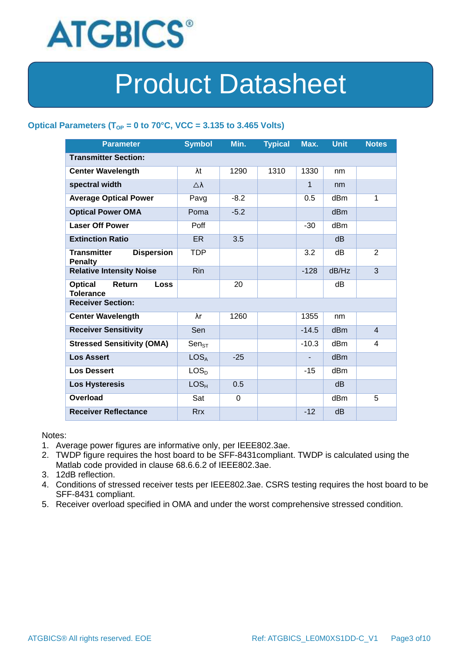

### Optical Parameters ( $T_{OP}$  = 0 to 70°C, VCC = 3.135 to 3.465 Volts)

| <b>Parameter</b>                                            | <b>Symbol</b>       | Min.   | <b>Typical</b> | Max.         | <b>Unit</b>     | <b>Notes</b>   |
|-------------------------------------------------------------|---------------------|--------|----------------|--------------|-----------------|----------------|
| <b>Transmitter Section:</b>                                 |                     |        |                |              |                 |                |
| <b>Center Wavelength</b>                                    | λt                  | 1290   | 1310           | 1330         | nm              |                |
| spectral width                                              | $\triangle \lambda$ |        |                | $\mathbf{1}$ | nm              |                |
| <b>Average Optical Power</b>                                | Pavg                | $-8.2$ |                | 0.5          | dBm             | 1              |
| <b>Optical Power OMA</b>                                    | Poma                | $-5.2$ |                |              | dB <sub>m</sub> |                |
| <b>Laser Off Power</b>                                      | Poff                |        |                | $-30$        | dB <sub>m</sub> |                |
| <b>Extinction Ratio</b>                                     | ER.                 | 3.5    |                |              | d <sub>B</sub>  |                |
| <b>Transmitter</b><br><b>Dispersion</b><br><b>Penalty</b>   | TDP                 |        |                | 3.2          | dВ              | 2              |
| <b>Relative Intensity Noise</b>                             | <b>Rin</b>          |        |                | $-128$       | dB/Hz           | 3              |
| <b>Optical</b><br>Return<br><b>Loss</b><br><b>Tolerance</b> |                     | 20     |                |              | dВ              |                |
| <b>Receiver Section:</b>                                    |                     |        |                |              |                 |                |
| <b>Center Wavelength</b>                                    | λr                  | 1260   |                | 1355         | nm              |                |
| <b>Receiver Sensitivity</b>                                 | Sen                 |        |                | $-14.5$      | d <sub>Bm</sub> | $\overline{4}$ |
| <b>Stressed Sensitivity (OMA)</b>                           | $Sen_{ST}$          |        |                | $-10.3$      | dBm             | 4              |
| <b>Los Assert</b>                                           | LOS <sub>A</sub>    | $-25$  |                |              | d <sub>Bm</sub> |                |
| <b>Los Dessert</b>                                          | LOS <sub>D</sub>    |        |                | $-15$        | dBm             |                |
| <b>Los Hysteresis</b>                                       | LOS <sub>H</sub>    | 0.5    |                |              | d <sub>B</sub>  |                |
| Overload                                                    | Sat                 | 0      |                |              | dB <sub>m</sub> | 5              |
| <b>Receiver Reflectance</b>                                 | <b>Rrx</b>          |        |                | $-12$        | dB              |                |

Notes:

- 1. Average power figures are informative only, per IEEE802.3ae.
- 2. TWDP figure requires the host board to be SFF-8431compliant. TWDP is calculated using the Matlab code provided in clause 68.6.6.2 of IEEE802.3ae.
- 3. 12dB reflection.
- 4. Conditions of stressed receiver tests per IEEE802.3ae. CSRS testing requires the host board to be SFF-8431 compliant.
- 5. Receiver overload specified in OMA and under the worst comprehensive stressed condition.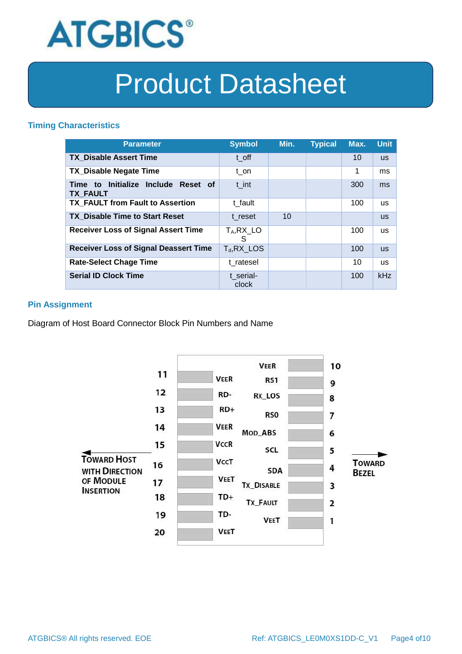

#### **Timing Characteristics**

| <b>Parameter</b>                                       | <b>Symbol</b>      | Min. | <b>Typical</b> | Max. | <b>Unit</b> |
|--------------------------------------------------------|--------------------|------|----------------|------|-------------|
| <b>TX Disable Assert Time</b>                          | t off              |      |                | 10   | <b>US</b>   |
| <b>TX Disable Negate Time</b>                          | t on               |      |                | 1    | ms          |
| Time to Initialize Include Reset of<br><b>TX FAULT</b> | t int              |      |                | 300  | ms          |
| <b>TX FAULT from Fault to Assertion</b>                | t fault            |      |                | 100  | <b>us</b>   |
| <b>TX Disable Time to Start Reset</b>                  | t reset            | 10   |                |      | <b>us</b>   |
| <b>Receiver Loss of Signal Assert Time</b>             | $T_A, RX_L$<br>S   |      |                | 100  | <b>us</b>   |
| <b>Receiver Loss of Signal Deassert Time</b>           | $T_d$ , RX_LOS     |      |                | 100  | <b>us</b>   |
| <b>Rate-Select Chage Time</b>                          | t ratesel          |      |                | 10   | <b>us</b>   |
| <b>Serial ID Clock Time</b>                            | t serial-<br>clock |      |                | 100  | kHz         |

### **Pin Assignment**

Diagram of Host Board Connector Block Pin Numbers and Name

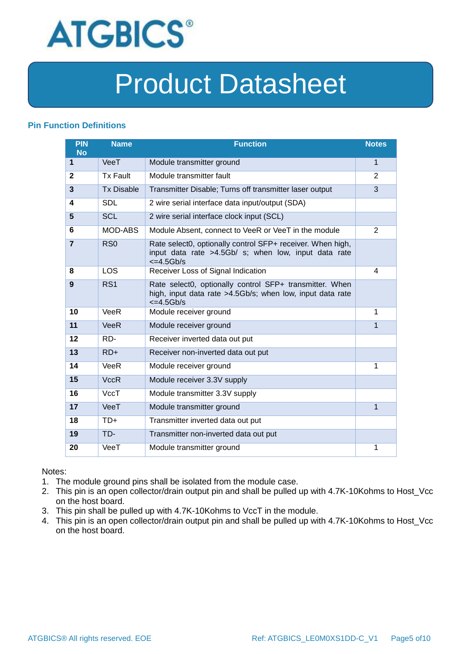

### **Pin Function Definitions**

| PIN<br><b>No</b> | <b>Name</b>       | <b>Function</b>                                                                                                                               | <b>Notes</b>   |
|------------------|-------------------|-----------------------------------------------------------------------------------------------------------------------------------------------|----------------|
| 1                | VeeT              | Module transmitter ground                                                                                                                     | 1              |
| $\mathbf{2}$     | <b>Tx Fault</b>   | Module transmitter fault                                                                                                                      | $\overline{2}$ |
| 3                | <b>Tx Disable</b> | Transmitter Disable; Turns off transmitter laser output                                                                                       | 3              |
| 4                | <b>SDL</b>        | 2 wire serial interface data input/output (SDA)                                                                                               |                |
| 5                | <b>SCL</b>        | 2 wire serial interface clock input (SCL)                                                                                                     |                |
| 6                | MOD-ABS           | Module Absent, connect to VeeR or VeeT in the module                                                                                          | $\overline{2}$ |
| $\overline{7}$   | RSO               | Rate select0, optionally control SFP+ receiver. When high,<br>input data rate >4.5Gb/ s; when low, input data rate<br>$\epsilon$ =4.5Gb/s     |                |
| 8                | LOS               | Receiver Loss of Signal Indication                                                                                                            | 4              |
| 9                | RS <sub>1</sub>   | Rate select0, optionally control SFP+ transmitter. When<br>high, input data rate >4.5Gb/s; when low, input data rate<br>$\epsilon = 4.5$ Gb/s |                |
| 10               | VeeR              | Module receiver ground                                                                                                                        | 1              |
| 11               | <b>VeeR</b>       | Module receiver ground                                                                                                                        | 1              |
| 12               | RD-               | Receiver inverted data out put                                                                                                                |                |
| 13               | $RD+$             | Receiver non-inverted data out put                                                                                                            |                |
| 14               | VeeR              | Module receiver ground                                                                                                                        | 1              |
| 15               | <b>VccR</b>       | Module receiver 3.3V supply                                                                                                                   |                |
| 16               | VccT              | Module transmitter 3.3V supply                                                                                                                |                |
| 17               | VeeT              | Module transmitter ground                                                                                                                     | $\mathbf{1}$   |
| 18               | $TD+$             | Transmitter inverted data out put                                                                                                             |                |
| 19               | TD-               | Transmitter non-inverted data out put                                                                                                         |                |
| 20               | VeeT              | Module transmitter ground                                                                                                                     | 1              |

Notes:

- 1. The module ground pins shall be isolated from the module case.
- 2. This pin is an open collector/drain output pin and shall be pulled up with 4.7K-10Kohms to Host\_Vcc on the host board.
- 3. This pin shall be pulled up with 4.7K-10Kohms to VccT in the module.
- 4. This pin is an open collector/drain output pin and shall be pulled up with 4.7K-10Kohms to Host\_Vcc on the host board.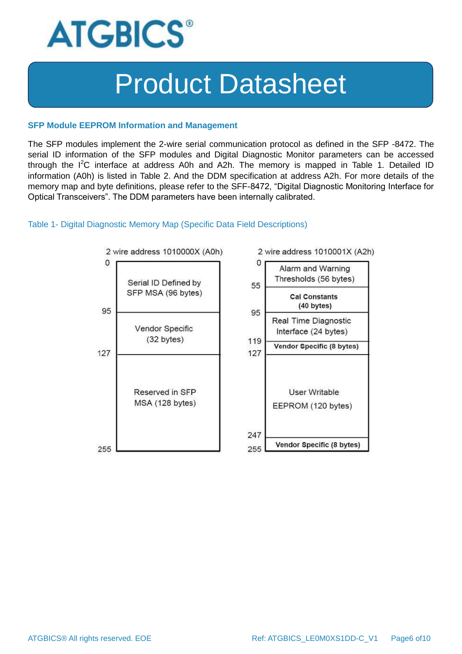

#### **SFP Module EEPROM Information and Management**

The SFP modules implement the 2-wire serial communication protocol as defined in the SFP -8472. The serial ID information of the SFP modules and Digital Diagnostic Monitor parameters can be accessed through the  $I^2C$  interface at address A0h and A2h. The memory is mapped in Table 1. Detailed ID information (A0h) is listed in Table 2. And the DDM specification at address A2h. For more details of the memory map and byte definitions, please refer to the SFF-8472, "Digital Diagnostic Monitoring Interface for Optical Transceivers". The DDM parameters have been internally calibrated.

#### Table 1- Digital Diagnostic Memory Map (Specific Data Field Descriptions)

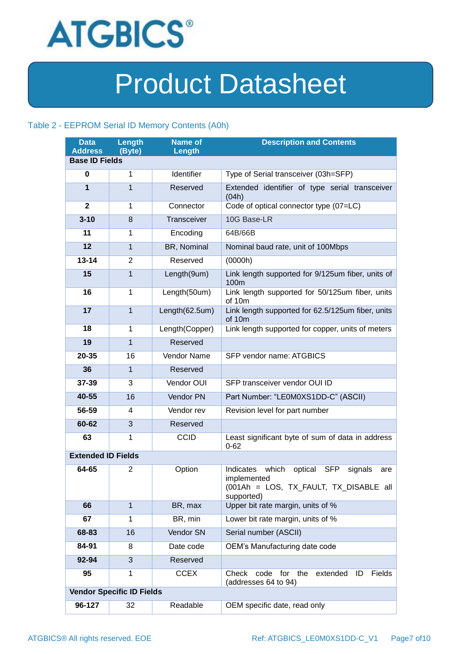

### Table 2 - EEPROM Serial ID Memory Contents (A0h)

| <b>Data</b><br><b>Address</b> | Length<br>(Byte)                 | <b>Name of</b><br>Length | <b>Description and Contents</b>                                                                                                      |
|-------------------------------|----------------------------------|--------------------------|--------------------------------------------------------------------------------------------------------------------------------------|
| <b>Base ID Fields</b>         |                                  |                          |                                                                                                                                      |
| 0                             | 1                                | Identifier               | Type of Serial transceiver (03h=SFP)                                                                                                 |
| $\mathbf{1}$                  | $\mathbf{1}$                     | Reserved                 | Extended identifier of type serial transceiver<br>(04h)                                                                              |
| $\mathbf{2}$                  | $\mathbf{1}$                     | Connector                | Code of optical connector type (07=LC)                                                                                               |
| $3 - 10$                      | 8                                | Transceiver              | 10G Base-LR                                                                                                                          |
| 11                            | 1                                | Encoding                 | 64B/66B                                                                                                                              |
| 12                            | $\mathbf{1}$                     | BR, Nominal              | Nominal baud rate, unit of 100Mbps                                                                                                   |
| $13 - 14$                     | 2                                | Reserved                 | (0000h)                                                                                                                              |
| 15                            | $\mathbf{1}$                     | Length(9um)              | Link length supported for 9/125um fiber, units of<br>100m                                                                            |
| 16                            | $\mathbf{1}$                     | Length(50um)             | Link length supported for 50/125um fiber, units<br>of 10m                                                                            |
| 17                            | $\mathbf{1}$                     | Length(62.5um)           | Link length supported for 62.5/125um fiber, units<br>of 10m                                                                          |
| 18                            | $\mathbf{1}$                     | Length(Copper)           | Link length supported for copper, units of meters                                                                                    |
| 19                            | $\mathbf{1}$                     | Reserved                 |                                                                                                                                      |
| 20-35                         | 16                               | <b>Vendor Name</b>       | SFP vendor name: ATGBICS                                                                                                             |
| 36                            | $\mathbf{1}$                     | Reserved                 |                                                                                                                                      |
| 37-39                         | 3                                | Vendor OUI               | SFP transceiver vendor OUI ID                                                                                                        |
| 40-55                         | 16                               | Vendor PN                | Part Number: "LE0M0XS1DD-C" (ASCII)                                                                                                  |
| 56-59                         | 4                                | Vendor rev               | Revision level for part number                                                                                                       |
| 60-62                         | 3                                | Reserved                 |                                                                                                                                      |
| 63                            | $\mathbf{1}$                     | <b>CCID</b>              | Least significant byte of sum of data in address<br>$0 - 62$                                                                         |
| <b>Extended ID Fields</b>     |                                  |                          |                                                                                                                                      |
| 64-65                         | $\overline{2}$                   | Option                   | which<br>Indicates<br>optical<br><b>SFP</b><br>signals<br>are<br>implemented<br>(001Ah = LOS, TX_FAULT, TX_DISABLE all<br>supported) |
| 66                            | $\mathbf{1}$                     | BR, max                  | Upper bit rate margin, units of %                                                                                                    |
| 67                            | 1                                | BR, min                  | Lower bit rate margin, units of %                                                                                                    |
| 68-83                         | 16                               | Vendor SN                | Serial number (ASCII)                                                                                                                |
| 84-91                         | 8                                | Date code                | OEM's Manufacturing date code                                                                                                        |
| 92-94                         | 3                                | Reserved                 |                                                                                                                                      |
| 95                            | 1                                | <b>CCEX</b>              | Check<br>for<br>the<br>extended<br>Fields<br>code<br>ID<br>(addresses 64 to 94)                                                      |
|                               | <b>Vendor Specific ID Fields</b> |                          |                                                                                                                                      |
| 96-127                        | 32                               | Readable                 | OEM specific date, read only                                                                                                         |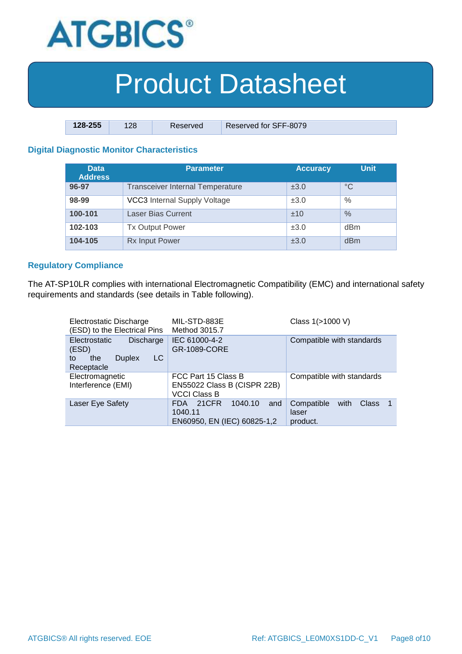

| $128 - 255$ | 128 | Reserved | Reserved for SFF-8079 |
|-------------|-----|----------|-----------------------|

### **Digital Diagnostic Monitor Characteristics**

| <b>Data</b><br><b>Address</b> | Parameter                               | <b>Accuracy</b> | <b>Unit</b> |
|-------------------------------|-----------------------------------------|-----------------|-------------|
| 96-97                         | <b>Transceiver Internal Temperature</b> | ±3.0            | $^{\circ}C$ |
| 98-99                         | <b>VCC3</b> Internal Supply Voltage     | ±3.0            | $\%$        |
| 100-101                       | <b>Laser Bias Current</b>               | ±10             | $\%$        |
| 102-103                       | <b>Tx Output Power</b>                  | ±3.0            | dBm         |
| 104-105                       | <b>Rx Input Power</b>                   | ±3.0            | dBm         |

#### **Regulatory Compliance**

The AT-SP10LR complies with international Electromagnetic Compatibility (EMC) and international safety requirements and standards (see details in Table following).

| Electrostatic Discharge<br>(ESD) to the Electrical Pins                                             | MIL-STD-883E<br>Method 3015.7                                             | Class 1(>1000 V)                                        |
|-----------------------------------------------------------------------------------------------------|---------------------------------------------------------------------------|---------------------------------------------------------|
| <b>Electrostatic</b><br><b>Discharge</b><br>(ESD)<br>LC<br><b>Duplex</b><br>the<br>tο<br>Receptacle | IEC 61000-4-2<br>GR-1089-CORE                                             | Compatible with standards                               |
| Electromagnetic<br>Interference (EMI)                                                               | FCC Part 15 Class B<br>EN55022 Class B (CISPR 22B)<br><b>VCCI Class B</b> | Compatible with standards                               |
| Laser Eye Safety                                                                                    | 21CFR<br>1040.10<br>FDA.<br>and<br>1040.11<br>EN60950, EN (IEC) 60825-1,2 | Compatible<br><b>Class</b><br>with<br>laser<br>product. |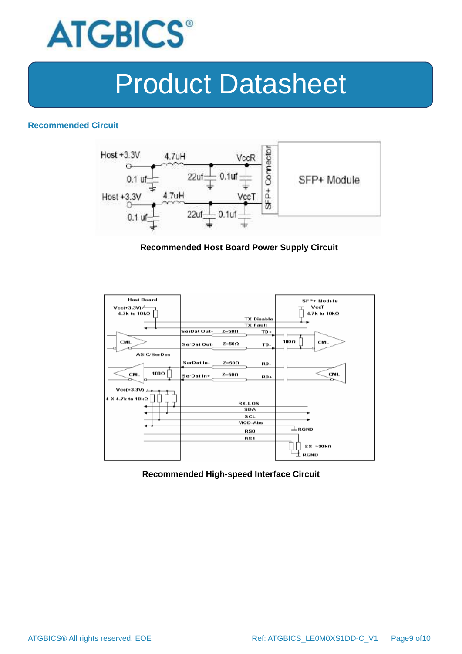

#### **Recommended Circuit**



#### **Recommended Host Board Power Supply Circuit**



#### **Recommended High-speed Interface Circuit**